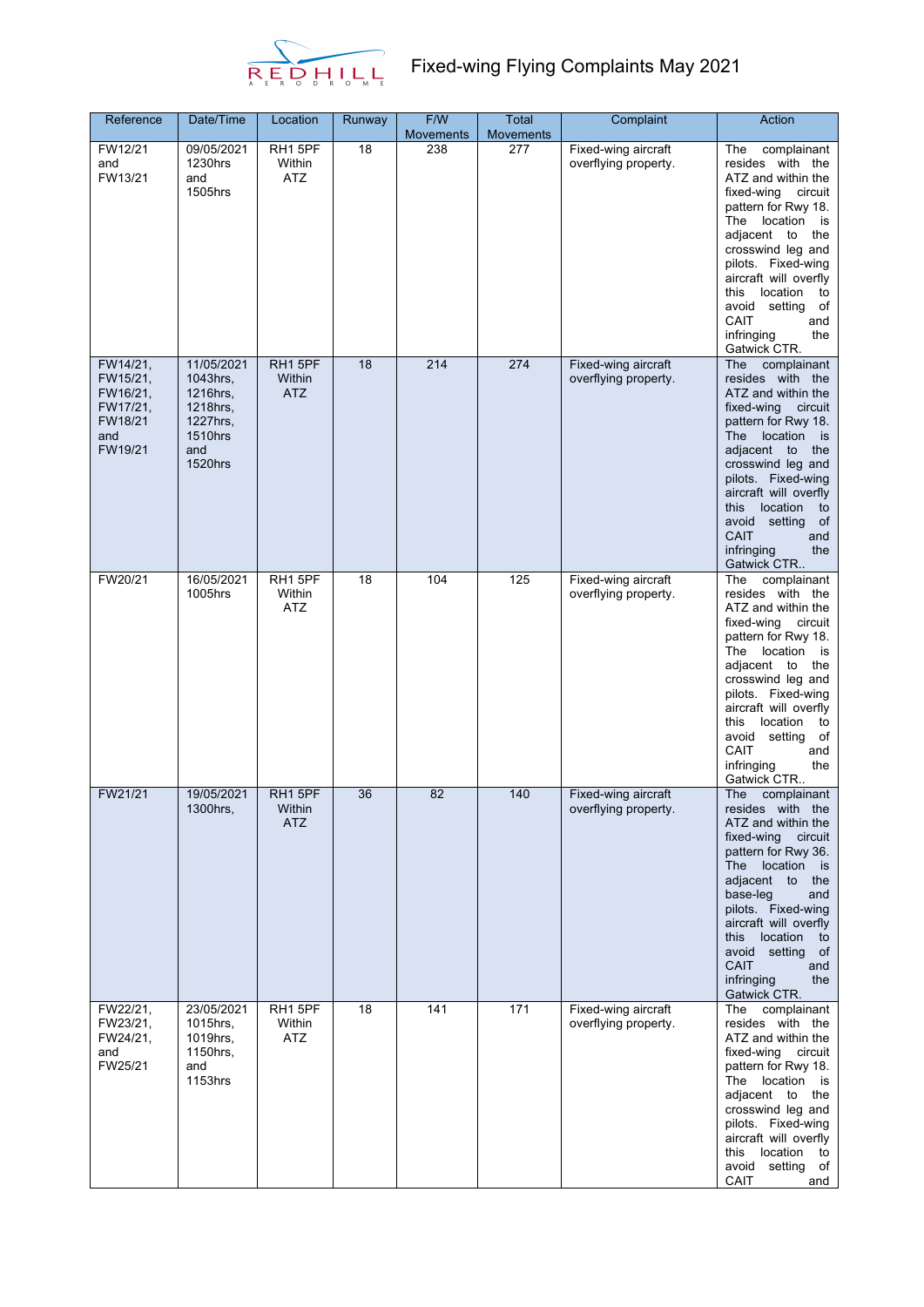

| Reference                                                                 | Date/Time                                                                                      | Location                        | Runway | F/W<br><b>Movements</b> | <b>Total</b><br><b>Movements</b> | Complaint                                   | Action                                                                                                                                                                                                                                                                                                                                     |
|---------------------------------------------------------------------------|------------------------------------------------------------------------------------------------|---------------------------------|--------|-------------------------|----------------------------------|---------------------------------------------|--------------------------------------------------------------------------------------------------------------------------------------------------------------------------------------------------------------------------------------------------------------------------------------------------------------------------------------------|
| FW12/21<br>and<br>FW13/21                                                 | 09/05/2021<br>1230hrs<br>and<br>1505hrs                                                        | RH1 5PF<br>Within<br><b>ATZ</b> | 18     | 238                     | 277                              | Fixed-wing aircraft<br>overflying property. | The<br>complainant<br>resides with the<br>ATZ and within the<br>fixed-wing circuit<br>pattern for Rwy 18.<br>The location<br>is<br>adjacent to<br>the<br>crosswind leg and<br>pilots. Fixed-wing<br>aircraft will overfly<br>location<br>this<br>to<br>avoid setting<br>of<br>CAIT<br>and<br>infringing<br>the<br>Gatwick CTR.             |
| FW14/21,<br>FW15/21,<br>FW16/21,<br>FW17/21,<br>FW18/21<br>and<br>FW19/21 | 11/05/2021<br>1043hrs,<br>1216hrs,<br>1218hrs,<br>1227hrs,<br><b>1510hrs</b><br>and<br>1520hrs | RH1 5PF<br>Within<br>ATZ        | 18     | 214                     | 274                              | Fixed-wing aircraft<br>overflying property. | complainant<br>The<br>resides with the<br>ATZ and within the<br>fixed-wing<br>circuit<br>pattern for Rwy 18.<br>The location<br>is is<br>adjacent to<br>the<br>crosswind leg and<br>pilots. Fixed-wing<br>aircraft will overfly<br>location<br>this<br>to<br>avoid setting<br>of<br><b>CAIT</b><br>and<br>infringing<br>the<br>Gatwick CTR |
| FW20/21                                                                   | 16/05/2021<br>1005hrs                                                                          | RH15PF<br>Within<br><b>ATZ</b>  | 18     | 104                     | 125                              | Fixed-wing aircraft<br>overflying property. | The<br>complainant<br>resides with the<br>ATZ and within the<br>fixed-wing<br>circuit<br>pattern for Rwy 18.<br>The location<br>is<br>adjacent to<br>the<br>crosswind leg and<br>pilots. Fixed-wing<br>aircraft will overfly<br>this<br>location<br>to<br>avoid setting<br>of<br>CAIT<br>and<br>infringing<br>the<br>Gatwick CTR           |
| FW21/21                                                                   | 19/05/2021<br>1300hrs,                                                                         | RH1 5PF<br>Within<br><b>ATZ</b> | 36     | 82                      | 140                              | Fixed-wing aircraft<br>overflying property. | The<br>complainant<br>resides with the<br>ATZ and within the<br>fixed-wing<br>circuit<br>pattern for Rwy 36.<br>The location<br>is is<br>adjacent to<br>the<br>base-leg<br>and<br>pilots. Fixed-wing<br>aircraft will overfly<br>location<br>this<br>to<br>avoid setting of<br><b>CAIT</b><br>and<br>infringing<br>the<br>Gatwick CTR.     |
| FW22/21,<br>FW23/21,<br>FW24/21,<br>and<br>FW25/21                        | 23/05/2021<br>1015hrs,<br>1019hrs,<br>1150hrs,<br>and<br>1153hrs                               | RH1 5PF<br>Within<br>ATZ        | 18     | 141                     | 171                              | Fixed-wing aircraft<br>overflying property. | The complainant<br>resides with the<br>ATZ and within the<br>fixed-wing<br>circuit<br>pattern for Rwy 18.<br>The location is<br>adjacent to the<br>crosswind leg and<br>pilots. Fixed-wing<br>aircraft will overfly<br>this location<br>to<br>avoid<br>setting of<br>CAIT<br>and                                                           |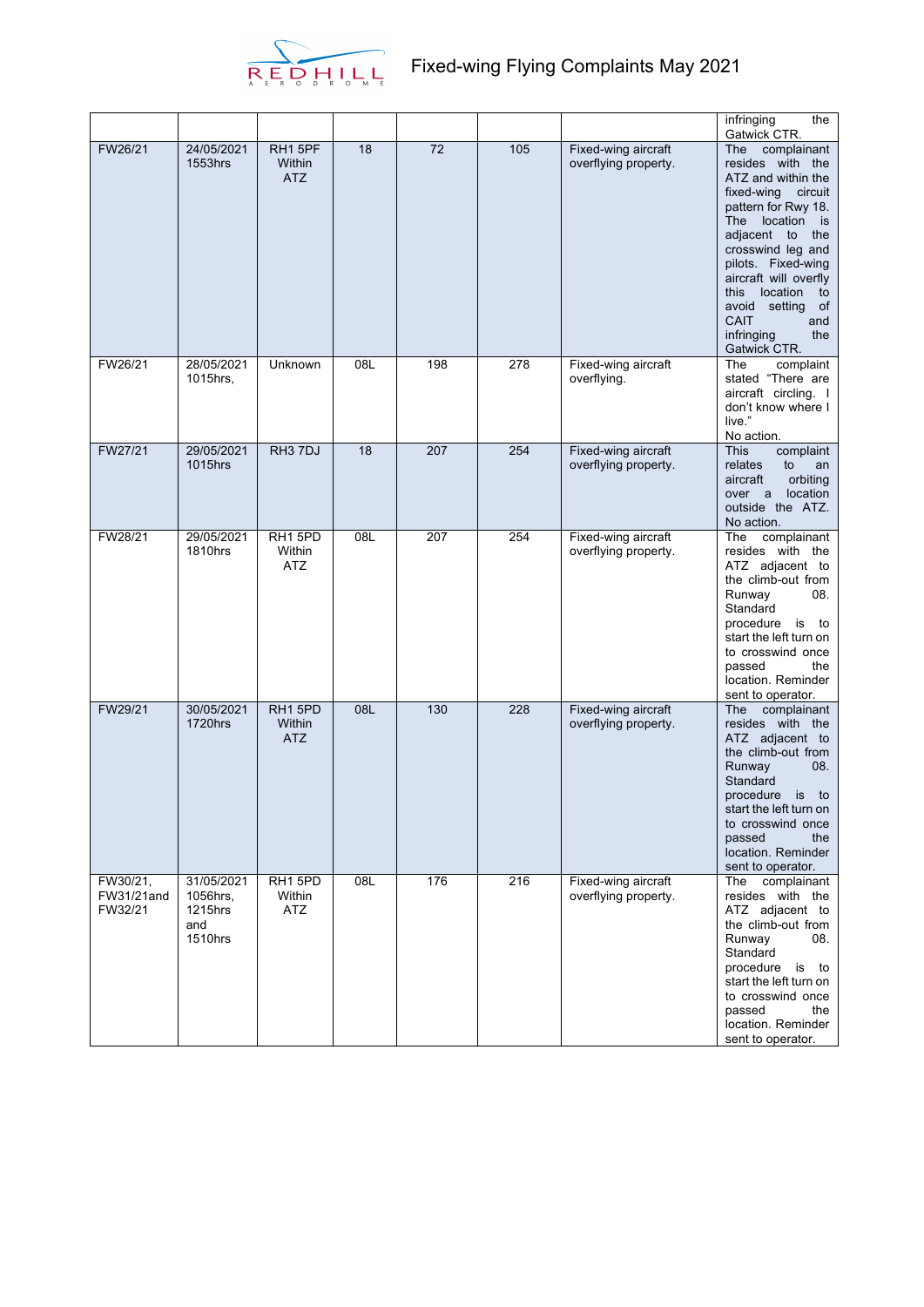

|                                   |                                                     |                                 |     |                 |     |                                             | infringing<br>the<br>Gatwick CTR.                                                                                                                                                                                                                                                                                               |
|-----------------------------------|-----------------------------------------------------|---------------------------------|-----|-----------------|-----|---------------------------------------------|---------------------------------------------------------------------------------------------------------------------------------------------------------------------------------------------------------------------------------------------------------------------------------------------------------------------------------|
| FW26/21                           | 24/05/2021<br>1553hrs                               | RH1 5PF<br>Within<br><b>ATZ</b> | 18  | $\overline{72}$ | 105 | Fixed-wing aircraft<br>overflying property. | The complainant<br>resides with the<br>ATZ and within the<br>fixed-wing circuit<br>pattern for Rwy 18.<br>The location is<br>adjacent to<br>the<br>crosswind leg and<br>pilots. Fixed-wing<br>aircraft will overfly<br>location<br>this<br>to<br>avoid setting<br>of<br><b>CAIT</b><br>and<br>infringing<br>the<br>Gatwick CTR. |
| FW26/21                           | 28/05/2021<br>1015hrs,                              | Unknown                         | 08L | 198             | 278 | Fixed-wing aircraft<br>overflying.          | The<br>complaint<br>stated "There are<br>aircraft circling. I<br>don't know where I<br>live."<br>No action.                                                                                                                                                                                                                     |
| FW27/21                           | 29/05/2021<br>1015hrs                               | RH <sub>3</sub> 7DJ             | 18  | 207             | 254 | Fixed-wing aircraft<br>overflying property. | <b>This</b><br>complaint<br>relates<br>to<br>an<br>orbiting<br>aircraft<br>location<br>over a<br>outside the ATZ.<br>No action.                                                                                                                                                                                                 |
| FW28/21                           | 29/05/2021<br>1810hrs                               | RH15PD<br>Within<br><b>ATZ</b>  | 08L | 207             | 254 | Fixed-wing aircraft<br>overflying property. | complainant<br>The<br>resides with the<br>ATZ adjacent to<br>the climb-out from<br>Runway<br>08.<br>Standard<br>procedure is<br>to<br>start the left turn on<br>to crosswind once<br>passed<br>the<br>location. Reminder<br>sent to operator.                                                                                   |
| FW29/21                           | 30/05/2021<br><b>1720hrs</b>                        | RH1 5PD<br>Within<br><b>ATZ</b> | 08L | 130             | 228 | Fixed-wing aircraft<br>overflying property. | complainant<br><b>The</b><br>resides with the<br>ATZ adjacent to<br>the climb-out from<br>Runway<br>08.<br>Standard<br>procedure is to<br>start the left turn on<br>to crosswind once<br>passed<br>the<br>location. Reminder<br>sent to operator.                                                                               |
| FW30/21,<br>FW31/21and<br>FW32/21 | 31/05/2021<br>1056hrs,<br>1215hrs<br>and<br>1510hrs | RH15PD<br>Within<br><b>ATZ</b>  | 08L | 176             | 216 | Fixed-wing aircraft<br>overflying property. | The complainant<br>resides with the<br>ATZ adjacent to<br>the climb-out from<br>Runway<br>08.<br>Standard<br>procedure is<br>to<br>start the left turn on<br>to crosswind once<br>passed<br>the<br>location. Reminder<br>sent to operator.                                                                                      |